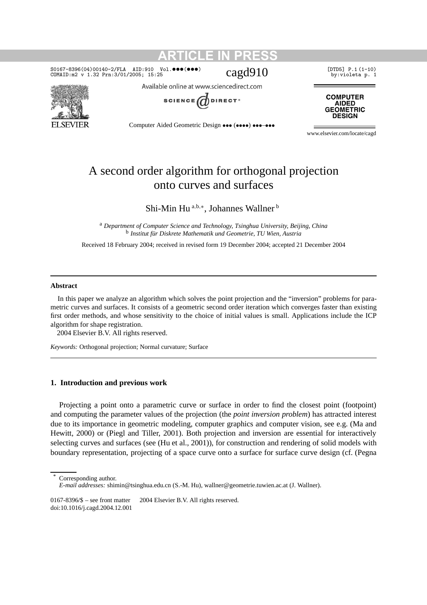### SO167-8396(04)00140-2/FLA AID:910 Vol. •••(•••)  $c$  $\alpha$ gd $910$  [DTD5] P.1(1-10) cOMAID:m2 v 1.32 Prn:3/01/2005; 15:25 COMAID:m2 v 1.32 Prn:3/01/2005; 15:25



Available online at www.sciencedirect.com

**ARTICLE IN PRESS**



**COMPUTER AIDED GEOMETRIC DESIGN** 

Computer Aided Geometric Design ••• (••••) •••–•••

www.elsevier.com/locate/cagd

# A second order algorithm for orthogonal projection onto curves and surfaces

Shi-Min Hu <sup>a</sup>*,*b*,*<sup>∗</sup> , Johannes Wallner <sup>b</sup>

<sup>a</sup> *Department of Computer Science and Technology, Tsinghua University, Beijing, China* <sup>b</sup> *Institut für Diskrete Mathematik und Geometrie, TU Wien, Austria*

Received 18 February 2004; received in revised form 19 December 2004; accepted 21 December 2004

### **Abstract**

In this paper we analyze an algorithm which solves the point projection and the "inversion" problems for parametric curves and surfaces. It consists of a geometric second order iteration which converges faster than existing first order methods, and whose sensitivity to the choice of initial values is small. Applications include the ICP algorithm for shape registration.

2004 Elsevier B.V. All rights reserved.

*Keywords:* Orthogonal projection; Normal curvature; Surface

## **1. Introduction and previous work**

Projecting a point onto a parametric curve or surface in order to find the closest point (footpoint) and computing the parameter values of the projection (the *point inversion problem*) has attracted interest due to its importance in geometric modeling, computer graphics and computer vision, see e.g. (Ma and Hewitt, 2000) or (Piegl and Tiller, 2001). Both projection and inversion are essential for interactively selecting curves and surfaces (see (Hu et al., 2001)), for construction and rendering of solid models with boundary representation, projecting of a space curve onto a surface for surface curve design (cf. (Pegna

Corresponding author.

0167-8396/\$ – see front matter  $\degree$  2004 Elsevier B.V. All rights reserved. doi:10.1016/j.cagd.2004.12.001

*E-mail addresses:* shimin@tsinghua.edu.cn (S.-M. Hu), wallner@geometrie.tuwien.ac.at (J. Wallner).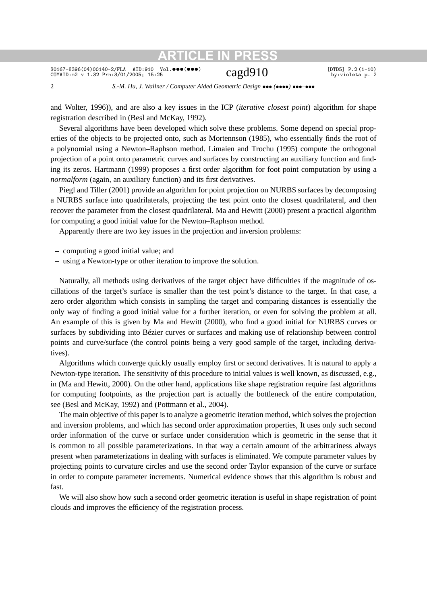### SO167-8396(04)00140-2/FLA AID:910 Vol. •••(•••)  $\text{Cagd910}$  [DTD5] P.2(1-10) cOMAID:m2 v 1.32 Prn:3/01/2005; 15:25 COMAID:m2 v 1.32 Prn:3/01/2005; 15:25

2 *S.-M. Hu, J. Wallner / Computer Aided Geometric Design* ••• *(*••••*)* •••*–*•••

and Wolter, 1996)), and are also a key issues in the ICP (*iterative closest point*) algorithm for shape registration described in (Besl and McKay, 1992).

Several algorithms have been developed which solve these problems. Some depend on special properties of the objects to be projected onto, such as Mortennson (1985), who essentially finds the root of a polynomial using a Newton–Raphson method. Limaien and Trochu (1995) compute the orthogonal projection of a point onto parametric curves and surfaces by constructing an auxiliary function and finding its zeros. Hartmann (1999) proposes a first order algorithm for foot point computation by using a *normalform* (again, an auxiliary function) and its first derivatives.

Piegl and Tiller (2001) provide an algorithm for point projection on NURBS surfaces by decomposing a NURBS surface into quadrilaterals, projecting the test point onto the closest quadrilateral, and then recover the parameter from the closest quadrilateral. Ma and Hewitt (2000) present a practical algorithm for computing a good initial value for the Newton–Raphson method.

Apparently there are two key issues in the projection and inversion problems:

- computing a good initial value; and
- using a Newton-type or other iteration to improve the solution.

Naturally, all methods using derivatives of the target object have difficulties if the magnitude of oscillations of the target's surface is smaller than the test point's distance to the target. In that case, a zero order algorithm which consists in sampling the target and comparing distances is essentially the only way of finding a good initial value for a further iteration, or even for solving the problem at all. An example of this is given by Ma and Hewitt (2000), who find a good initial for NURBS curves or surfaces by subdividing into Bézier curves or surfaces and making use of relationship between control points and curve/surface (the control points being a very good sample of the target, including derivatives).

Algorithms which converge quickly usually employ first or second derivatives. It is natural to apply a Newton-type iteration. The sensitivity of this procedure to initial values is well known, as discussed, e.g., in (Ma and Hewitt, 2000). On the other hand, applications like shape registration require fast algorithms for computing footpoints, as the projection part is actually the bottleneck of the entire computation, see (Besl and McKay, 1992) and (Pottmann et al., 2004).

The main objective of this paper is to analyze a geometric iteration method, which solves the projection and inversion problems, and which has second order approximation properties, It uses only such second order information of the curve or surface under consideration which is geometric in the sense that it is common to all possible parameterizations. In that way a certain amount of the arbitrariness always present when parameterizations in dealing with surfaces is eliminated. We compute parameter values by projecting points to curvature circles and use the second order Taylor expansion of the curve or surface in order to compute parameter increments. Numerical evidence shows that this algorithm is robust and fast.

We will also show how such a second order geometric iteration is useful in shape registration of point clouds and improves the efficiency of the registration process.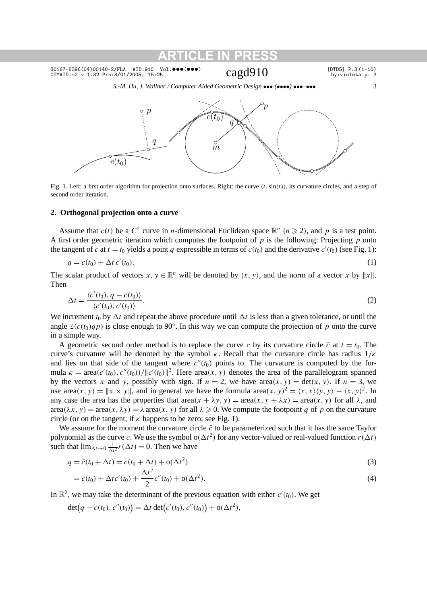*S.-M. Hu, J. Wallner / Computer Aided Geometric Design* ••• *(*••••*)* •••*–*••• 3



Fig. 1. Left: a first order algorithm for projection onto surfaces. Right: the curve *(t,*sin*(t ))*, its curvature circles, and a step of second order iteration.

### **2. Orthogonal projection onto a curve**

Assume that  $c(t)$  be a  $C^2$  curve in *n*-dimensional Euclidean space  $\mathbb{R}^n$   $(n \ge 2)$ , and *p* is a test point. A first order geometric iteration which computes the footpoint of *p* is the following: Projecting *p* onto the tangent of *c* at  $t = t_0$  yields a point *q* expressible in terms of  $c(t_0)$  and the derivative  $c'(t_0)$  (see Fig. 1):

$$
q = c(t_0) + \Delta t \, c'(t_0). \tag{1}
$$

The scalar product of vectors  $x, y \in \mathbb{R}^n$  will be denoted by  $\langle x, y \rangle$ , and the norm of a vector *x* by  $||x||$ . Then

$$
\Delta t = \frac{\langle c'(t_0), q - c(t_0) \rangle}{\langle c'(t_0), c'(t_0) \rangle}.
$$
\n(2)

We increment  $t_0$  by  $\Delta t$  and repeat the above procedure until  $\Delta t$  is less than a given tolerance, or until the angle  $\angle(c(t_0)qp)$  is close enough to 90°. In this way we can compute the projection of *p* onto the curve in a simple way.

A geometric second order method is to replace the curve *c* by its curvature circle  $\bar{c}$  at  $t = t_0$ . The curve's curvature will be denoted by the symbol *κ*. Recall that the curvature circle has radius 1*/κ* and lies on that side of the tangent where  $c''(t_0)$  points to. The curvature is computed by the formula  $\kappa = \text{area}(c'(t_0), c''(t_0))/\|c'(t_0)\|^3$ . Here area $(x, y)$  denotes the area of the parallelogram spanned by the vectors x and y, possibly with sign. If  $n = 2$ , we have  $area(x, y) = det(x, y)$ . If  $n = 3$ , we use area $(x, y) = ||x \times y||$ , and in general we have the formula area $(x, y)^2 = \langle x, x \rangle \langle y, y \rangle - \langle x, y \rangle^2$ . In any case the area has the properties that area $(x + \lambda y, y) = \text{area}(x, y + \lambda x) = \text{area}(x, y)$  for all  $\lambda$ , and  $area(\lambda x, y) = area(x, \lambda y) = \lambda area(x, y)$  for all  $\lambda \ge 0$ . We compute the footpoint *q* of *p* on the curvature circle (or on the tangent, if  $\kappa$  happens to be zero; see Fig. 1).

We assume for the moment the curvature circle  $\bar{c}$  to be parameterized such that it has the same Taylor polynomial as the curve *c*. We use the symbol  $o(\Delta t^2)$  for any vector-valued or real-valued function  $r(\Delta t)$ such that  $\lim_{\Delta t \to 0} \frac{1}{\Delta t^2} r(\Delta t) = 0$ . Then we have

$$
q = \bar{c}(t_0 + \Delta t) = c(t_0 + \Delta t) + o(\Delta t^2)
$$
\n<sup>(3)</sup>

$$
= c(t_0) + \Delta t c'(t_0) + \frac{\Delta t^2}{2} c''(t_0) + o(\Delta t^2).
$$
\n(4)

In  $\mathbb{R}^2$ , we may take the determinant of the previous equation with either  $c'(t_0)$ . We get

$$
\det(q - c(t_0), c''(t_0)) = \Delta t \det(c'(t_0), c''(t_0)) + o(\Delta t^2),
$$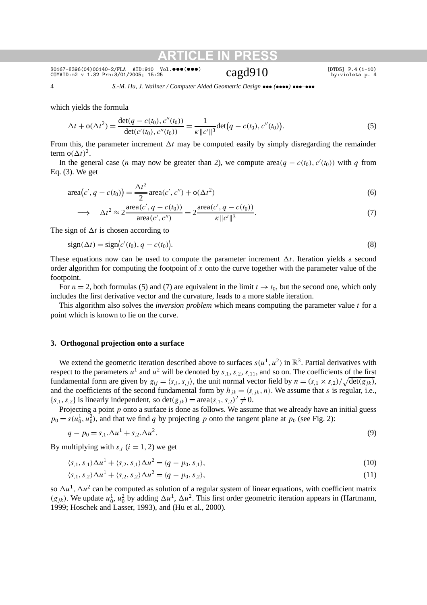SO167-8396(04)00140-2/FLA AID:910 Vol.•••(•••) cagd910 [DTD5] P.4(1-10)<br>COMAID:m2 v 1.32 Prn:3/01/2005; 15:25 cagd910 by:violeta p. 4

4 *S.-M. Hu, J. Wallner / Computer Aided Geometric Design* ••• *(*••••*)* •••*–*•••

which yields the formula

$$
\Delta t + o(\Delta t^2) = \frac{\det(q - c(t_0), c''(t_0))}{\det(c'(t_0), c''(t_0))} = \frac{1}{\kappa \|c'\|^3} \det(q - c(t_0), c''(t_0)).
$$
\n(5)

From this, the parameter increment  $\Delta t$  may be computed easily by simply disregarding the remainder term  $o(\Delta t)^2$ .

In the general case (*n* may now be greater than 2), we compute area $(q - c(t_0), c'(t_0))$  with *q* from Eq. (3). We get

area
$$
(c', q - c(t_0)) = \frac{\Delta t^2}{2} \text{area}(c', c'') + o(\Delta t^2)
$$
 (6)

$$
\implies \Delta t^2 \approx 2 \frac{\text{area}(c', q - c(t_0))}{\text{area}(c', c'')} = 2 \frac{\text{area}(c', q - c(t_0))}{\kappa \|c'\|^3}.
$$
\n
$$
(7)
$$

The sign of  $\Delta t$  is chosen according to

$$
sign(\Delta t) = sign\langle c'(t_0), q - c(t_0) \rangle.
$$
\n(8)

These equations now can be used to compute the parameter increment  $\Delta t$ . Iteration yields a second order algorithm for computing the footpoint of *x* onto the curve together with the parameter value of the footpoint.

For  $n = 2$ , both formulas (5) and (7) are equivalent in the limit  $t \to t_0$ , but the second one, which only includes the first derivative vector and the curvature, leads to a more stable iteration.

This algorithm also solves the *inversion problem* which means computing the parameter value *t* for a point which is known to lie on the curve.

## **3. Orthogonal projection onto a surface**

We extend the geometric iteration described above to surfaces  $s(u^1, u^2)$  in  $\mathbb{R}^3$ . Partial derivatives with respect to the parameters  $u^1$  and  $u^2$  will be denoted by  $s_{,1}$ ,  $s_{,2}$ ,  $s_{,11}$ , and so on. The coefficients of the first fundamental form are given by  $g_{ij} = \langle s_i, s_j \rangle$ , the unit normal vector field by  $n = (s_{,1} \times s_{,2})/\sqrt{\det(g_{jk})}$ , and the coefficients of the second fundamental form by  $h_{jk} = \langle s, jk, n \rangle$ . We assume that *s* is regular, i.e.,  ${s<sub>1</sub>, s<sub>2</sub>}$  is linearly independent, so det $(g<sub>ik</sub>) = \text{area}(s<sub>1</sub>, s<sub>2</sub>)<sup>2</sup> \neq 0$ .

Projecting a point *p* onto a surface is done as follows. We assume that we already have an initial guess  $p_0 = s(u_0^1, u_0^2)$ , and that we find *q* by projecting *p* onto the tangent plane at  $p_0$  (see Fig. 2):

$$
q - p_0 = s_{,1}.\Delta u^1 + s_{,2}.\Delta u^2. \tag{9}
$$

By multiplying with  $s_i$  ( $i = 1, 2$ ) we get

$$
\langle s_{,1}, s_{,1} \rangle \Delta u^1 + \langle s_{,2}, s_{,1} \rangle \Delta u^2 = \langle q - p_0, s_{,1} \rangle, \tag{10}
$$

$$
\langle s_{,1}, s_{,2} \rangle \Delta u^1 + \langle s_{,2}, s_{,2} \rangle \Delta u^2 = \langle q - p_0, s_{,2} \rangle,\tag{11}
$$

so  $\Delta u^1$ ,  $\Delta u^2$  can be computed as solution of a regular system of linear equations, with coefficient matrix  $(g_{jk})$ . We update  $u_0^1, u_0^2$  by adding  $\Delta u^1, \Delta u^2$ . This first order geometric iteration appears in (Hartmann, 1999; Hoschek and Lasser, 1993), and (Hu et al., 2000).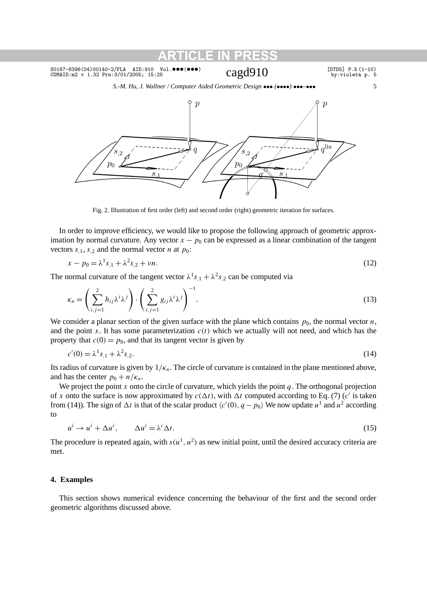*S.-M. Hu, J. Wallner / Computer Aided Geometric Design* ••• *(*••••*)* •••*–*••• 5



Fig. 2. Illustration of first order (left) and second order (right) geometric iteration for surfaces.

In order to improve efficiency, we would like to propose the following approach of geometric approximation by normal curvature. Any vector  $x - p_0$  can be expressed as a linear combination of the tangent vectors  $s_{,1}$ ,  $s_{,2}$  and the normal vector *n* at  $p_0$ :

$$
x - p_0 = \lambda^1 s_{,1} + \lambda^2 s_{,2} + \nu n. \tag{12}
$$

The normal curvature of the tangent vector  $\lambda^{1} s_{1} + \lambda^{2} s_{2}$  can be computed via

$$
\kappa_n = \left(\sum_{i,j=1}^2 h_{ij} \lambda^i \lambda^j\right) \cdot \left(\sum_{i,j=1}^2 g_{ij} \lambda^i \lambda^j\right)^{-1}.
$$
\n(13)

We consider a planar section of the given surface with the plane which contains  $p_0$ , the normal vector  $n$ , and the point x. It has some parameterization  $c(t)$  which we actually will not need, and which has the property that  $c(0) = p_0$ , and that its tangent vector is given by

$$
c'(0) = \lambda^1 s_{1} + \lambda^2 s_{2}. \tag{14}
$$

Its radius of curvature is given by  $1/\kappa_n$ . The circle of curvature is contained in the plane mentioned above, and has the center  $p_0 + n/k_n$ .

We project the point *x* onto the circle of curvature, which yields the point *q*. The orthogonal projection of *x* onto the surface is now approximated by  $c(\Delta t)$ , with  $\Delta t$  computed according to Eq. (7) (*c*<sup>'</sup> is taken from (14)). The sign of  $\Delta t$  is that of the scalar product  $\langle c'(0), q - p_0 \rangle$  We now update  $u^1$  and  $u^2$  according to

$$
u^{i} \to u^{i} + \Delta u^{i}, \qquad \Delta u^{i} = \lambda^{i} \Delta t. \tag{15}
$$

The procedure is repeated again, with  $s(u^1, u^2)$  as new initial point, until the desired accuracy criteria are met.

## **4. Examples**

This section shows numerical evidence concerning the behaviour of the first and the second order geometric algorithms discussed above.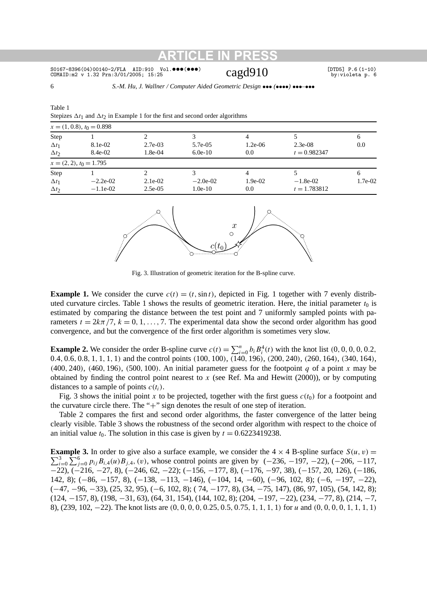### $SO167-8396(04)00140-2/FLA AID:910 Vol. \bullet \bullet \bullet (\bullet \bullet \bullet)$  [DTD5] P.6 (1-10) cOMAID:m2 v 1.32 Prn:3/01/2005; 15:25 cOMAID:m2 v 1.32 Prn:3/01/2005; 15:25 COMAID:m2 v 1.32 Prn:3/01/2005; 15:25

Table 1

6 *S.-M. Hu, J. Wallner / Computer Aided Geometric Design* ••• *(*••••*)* •••*–*•••

|                             | Stepizes $\Delta t_1$ and $\Delta t_2$ in Example 1 for the first and second order algorithms |            |            |           |                |           |  |  |  |  |
|-----------------------------|-----------------------------------------------------------------------------------------------|------------|------------|-----------|----------------|-----------|--|--|--|--|
| $x = (1, 0.8), t_0 = 0.898$ |                                                                                               |            |            |           |                |           |  |  |  |  |
| Step                        |                                                                                               |            |            |           |                | 6         |  |  |  |  |
| $\Delta t_1$                | 8.1e-02                                                                                       | $2.7e-03$  | 5.7e-05    | $1.2e-06$ | $2.3e-08$      | 0.0       |  |  |  |  |
| $\Delta t_2$                | 8.4e-02                                                                                       | $1.8e-0.4$ | $6.0e-10$  | 0.0       | $t = 0.982347$ |           |  |  |  |  |
|                             | $x = (2, 2), t_0 = 1.795$                                                                     |            |            |           |                |           |  |  |  |  |
| Step                        |                                                                                               |            |            |           |                | 6         |  |  |  |  |
| $\Delta t_1$                | $-2.2e-02$                                                                                    | $2.1e-02$  | $-2.0e-02$ | $1.9e-02$ | $-1.8e-02$     | $1.7e-02$ |  |  |  |  |
| $\Delta t_2$                | $-1.1e-02$                                                                                    | $2.5e-0.5$ | $1.0e-10$  | 0.0       | $t = 1.783812$ |           |  |  |  |  |
|                             |                                                                                               |            |            |           |                |           |  |  |  |  |



Fig. 3. Illustration of geometric iteration for the B-spline curve.

**Example 1.** We consider the curve  $c(t) = (t, \sin t)$ , depicted in Fig. 1 together with 7 evenly distributed curvature circles. Table 1 shows the results of geometric iteration. Here, the initial parameter  $t_0$  is estimated by comparing the distance between the test point and 7 uniformly sampled points with parameters  $t = 2k\pi/7$ ,  $k = 0, 1, \ldots, 7$ . The experimental data show the second order algorithm has good convergence, and but the convergence of the first order algorithm is sometimes very slow.

**Example 2.** We consider the order B-spline curve  $c(t) = \sum_{i=0}^{n} b_i B_i^4(t)$  with the knot list  $(0, 0, 0, 0, 0.2, 0.2)$  $0.4, 0.6, 0.8, 1, 1, 1, 1$  and the control points  $(100, 100), (140, 196), (200, 240), (260, 164), (340, 164),$ *(*400*,* 240*)*, *(*460*,* 196*)*, *(*500*,* 100*)*. An initial parameter guess for the footpoint *q* of a point *x* may be obtained by finding the control point nearest to *x* (see Ref. Ma and Hewitt (2000)), or by computing distances to a sample of points  $c(t_i)$ .

Fig. 3 shows the initial point x to be projected, together with the first guess  $c(t_0)$  for a footpoint and the curvature circle there. The "+" sign denotes the result of one step of iteration.

Table 2 compares the first and second order algorithms, the faster convergence of the latter being clearly visible. Table 3 shows the robustness of the second order algorithm with respect to the choice of an initial value  $t_0$ . The solution in this case is given by  $t = 0.6223419238$ .

 $\sum_{i=0}^{3} \sum_{j=0}^{6} p_{ij} B_{i,4}(u) B_{j,4}$ , (v), whose control points are given by (−236, −197, −22), (−206, −117, **Example 3.** In order to give also a surface example, we consider the  $4 \times 4$  B-spline surface  $S(u, v)$  = −22), (−216, −27, 8), (−246, 62, −22); (−156, −177, 8), (−176, −97, 38), (−157, 20, 126), (−186, 142, 8); (−86, −157, 8), (−138, −113, −146), (−104, 14, −60), (−96, 102, 8); (−6, −197, −22), (−47, −96, −33), (25, 32, 95), (−6, 102, 8); ( 74, −177, 8), (34, −75, 147), (86, 97, 105), (54, 142, 8); (124, −157, 8), (198, −31, 63), (64, 31, 154), (144, 102, 8); (204, −197, −22), (234, −77, 8), (214, −7, 8), (239, 102, -22). The knot lists are  $(0, 0, 0, 0, 0.25, 0.5, 0.75, 1, 1, 1, 1)$  for u and  $(0, 0, 0, 0, 1, 1, 1, 1)$ 

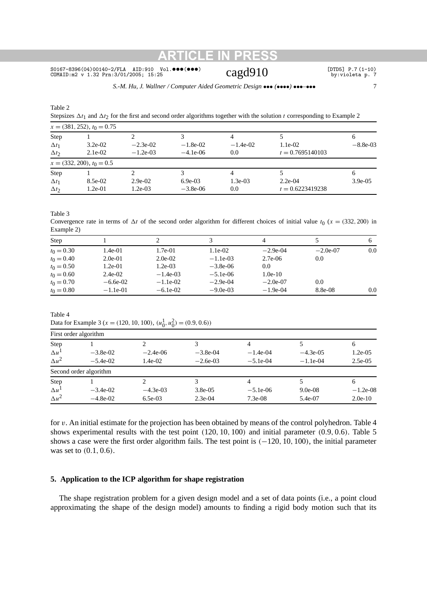SO167-8396(04)00140-2/FLA AID:910 Vol. •••(•••)  $c$  $\alpha$ gd $910$  [DTD5] P.7(1-10) cOMAID:m2 v 1.32 Prn:3/01/2005; 15:25 cOMAID:m2 v 1.32 Prn:3/01/2005; 15:25 COMAID:m2 v 1.32 Prn:3/01/2005; 15:25

*S.-M. Hu, J. Wallner / Computer Aided Geometric Design* ••• *(*••••*)* •••*–*••• 7

Table 2

Stepsizes  $\Delta t_1$  and  $\Delta t_2$  for the first and second order algorithms together with the solution *t* corresponding to Example 2

| $x = (381, 252), t_0 = 0.75$ |                             |             |            |            |                    |            |  |  |  |
|------------------------------|-----------------------------|-------------|------------|------------|--------------------|------------|--|--|--|
| Step                         |                             |             |            |            |                    | 6          |  |  |  |
| $\Delta t_1$                 | $3.2e-02$                   | $-2.3e-02$  | $-1.8e-02$ | $-1.4e-02$ | $1.1e-02$          | $-8.8e-03$ |  |  |  |
| $\Delta t_2$                 | $2.1e-02$                   | $-1.2e-0.3$ | $-4.1e-06$ | 0.0        | $t = 0.7695140103$ |            |  |  |  |
|                              | $x = (332, 200), t_0 = 0.5$ |             |            |            |                    |            |  |  |  |
| Step                         |                             |             |            |            |                    | 6          |  |  |  |
| $\Delta t_1$                 | 8.5e-02                     | $2.9e-02$   | $6.9e-0.3$ | $1.3e-0.3$ | $2.2e-04$          | $3.9e-0.5$ |  |  |  |
| $\Delta t_2$                 | $1.2e-01$                   | $1.2e-03$   | $-3.8e-06$ | 0.0        | $t = 0.6223419238$ |            |  |  |  |

Table 3

Convergence rate in terms of  $\Delta t$  of the second order algorithm for different choices of initial value  $t_0$  ( $x = (332, 200)$  in Example 2)

| Step         |            |            |            | $\overline{A}$ |            |     |
|--------------|------------|------------|------------|----------------|------------|-----|
| $t_0 = 0.30$ | 1.4e-01    | 1.7e-01    | $1.1e-02$  | $-2.9e-04$     | $-2.0e-07$ | 0.0 |
| $t_0 = 0.40$ | $2.0e-01$  | $2.0e-02$  | $-1.1e-03$ | $2.7e-06$      | 0.0        |     |
| $t_0 = 0.50$ | 1.2e-01    | $1.2e-0.3$ | $-3.8e-06$ | 0.0            |            |     |
| $t_0 = 0.60$ | $2.4e-02$  | $-1.4e-03$ | $-5.1e-06$ | $1.0e-10$      |            |     |
| $t_0 = 0.70$ | $-6.6e-02$ | $-1.1e-02$ | $-2.9e-04$ | $-2.0e-07$     | 0.0        |     |
| $t_0 = 0.80$ | $-1.1e-01$ | $-6.1e-02$ | $-9.0e-03$ | $-1.9e-04$     | 8.8e-08    | 0.0 |

Table 4

Data for Example 3 ( $x = (120, 10, 100)$ ,  $(u_0^1, u_0^2) = (0.9, 0.6)$ )

| First order algorithm |                        |            |            |            |             |            |  |  |  |
|-----------------------|------------------------|------------|------------|------------|-------------|------------|--|--|--|
| Step                  |                        |            |            |            |             | 6          |  |  |  |
| $\Delta u$            | $-3.8e-02$             | $-2.4e-06$ | $-3.8e-04$ | $-1.4e-04$ | $-4.3e-0.5$ | $1.2e-0.5$ |  |  |  |
| $\Delta u^2$          | $-5.4e-02$             | $1.4e-02$  | $-2.6e-03$ | $-5.1e-04$ | $-1.1e-04$  | $2.5e-0.5$ |  |  |  |
|                       | Second order algorithm |            |            |            |             |            |  |  |  |
| Step                  |                        |            |            |            |             | 6          |  |  |  |
| $\Delta u^{\perp}$    | $-3.4e-02$             | $-4.3e-03$ | $3.8e-0.5$ | $-5.1e-06$ | $9.0e-08$   | $-1.2e-08$ |  |  |  |
| $\Delta u^2$          | $-4.8e-02$             | $6.5e-03$  | $2.3e-04$  | $7.3e-08$  | 5.4e-07     | $2.0e-10$  |  |  |  |

for *v*. An initial estimate for the projection has been obtained by means of the control polyhedron. Table 4 shows experimental results with the test point *(*120*,* 10*,* 100*)* and initial parameter *(*0*.*9*,* 0*.*6*)*. Table 5 shows a case were the first order algorithm fails. The test point is *(*−120*,* 10*,* 100*)*, the initial parameter was set to *(*0*.*1*,* 0*.*6*)*.

## **5. Application to the ICP algorithm for shape registration**

The shape registration problem for a given design model and a set of data points (i.e., a point cloud approximating the shape of the design model) amounts to finding a rigid body motion such that its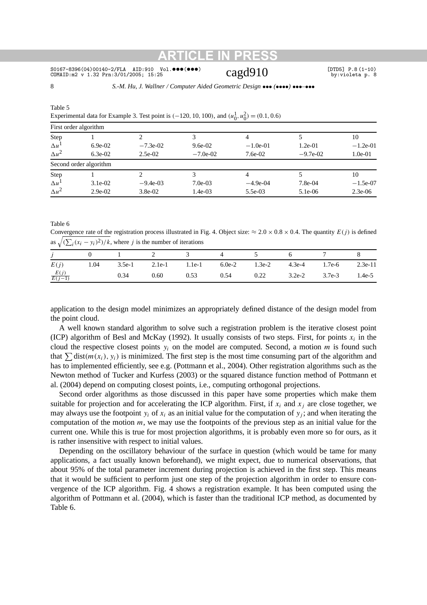### SO167-8396(04)00140-2/FLA AID:910 Vol. •••(•••)  $\text{Cagd910}$  [DTD5] P.8(1-10) cOMAID:m2 v 1.32 Prn:3/01/2005; 15:25 COMAID:m2 v 1.32 Prn:3/01/2005; 15:25

8 *S.-M. Hu, J. Wallner / Computer Aided Geometric Design* ••• *(*••••*)* •••*–*•••

|                         | Experimental data for Example 3. Test point is (-120, 10, 100), and $(u_0^1, u_0^2) = (0.1, 0.6)$ |            |            |            |            |            |  |  |  |  |
|-------------------------|---------------------------------------------------------------------------------------------------|------------|------------|------------|------------|------------|--|--|--|--|
| First order algorithm   |                                                                                                   |            |            |            |            |            |  |  |  |  |
| Step                    |                                                                                                   |            |            |            |            | 10         |  |  |  |  |
| $\Delta u$              | $6.9e-02$                                                                                         | $-7.3e-02$ | $9.6e-02$  | $-1.0e-01$ | $1.2e-01$  | $-1.2e-01$ |  |  |  |  |
| $\Delta u^2$            | $6.3e-02$                                                                                         | $2.5e-02$  | $-7.0e-02$ | $7.6e-02$  | $-9.7e-02$ | $1.0e-01$  |  |  |  |  |
|                         | Second order algorithm                                                                            |            |            |            |            |            |  |  |  |  |
| Step                    |                                                                                                   | ∍          |            |            |            | 10         |  |  |  |  |
| $\Delta u$ <sup>1</sup> | $3.1e-02$                                                                                         | $-9.4e-03$ | $7.0e-03$  | $-4.9e-04$ | $7.8e-04$  | $-1.5e-07$ |  |  |  |  |
| $\Delta u^2$            | $2.9e-02$                                                                                         | $3.8e-02$  | $1.4e-03$  | $5.5e-03$  | $5.1e-06$  | $2.3e-06$  |  |  |  |  |

Table 5 Experimental data for Example 3. Test point is  $(-120, 10, 100)$ , and  $(u_0^1)$ 

Table 6

Convergence rate of the registration process illustrated in Fig. 4. Object size:  $\approx 2.0 \times 0.8 \times 0.4$ . The quantity  $E(j)$  is defined as  $\sqrt{\left(\sum_i (x_i - y_i)^2\right)/k}$ , where *j* is the number of iterations

| $\dot{J}$           |      |      |      | 0 1 2 3 4 5 6 7 8                                        |                            |  |
|---------------------|------|------|------|----------------------------------------------------------|----------------------------|--|
| E(j)                | 1.04 |      |      | 3.5e-1 2.1e-1 1.1e-1 6.0e-2 1.3e-2 4.3e-4 1.7e-6 2.3e-11 |                            |  |
| $rac{E(j)}{E(j-1)}$ |      | 0.34 | 0.60 | $0.53$ $0.54$ $0.22$                                     | $3.2e-2$ $3.7e-3$ $1.4e-5$ |  |

application to the design model minimizes an appropriately defined distance of the design model from the point cloud.

A well known standard algorithm to solve such a registration problem is the iterative closest point (ICP) algorithm of Besl and McKay (1992). It usually consists of two steps. First, for points  $x_i$  in the cloud the respective closest points  $y_i$  on the model are computed. Second, a motion *m* is found such that  $\sum$  dist $(m(x_i), y_i)$  is minimized. The first step is the most time consuming part of the algorithm and has to implemented efficiently, see e.g. (Pottmann et al., 2004). Other registration algorithms such as the Newton method of Tucker and Kurfess (2003) or the squared distance function method of Pottmann et al. (2004) depend on computing closest points, i.e., computing orthogonal projections.

Second order algorithms as those discussed in this paper have some properties which make them suitable for projection and for accelerating the ICP algorithm. First, if  $x_i$  and  $x_j$  are close together, we may always use the footpoint  $y_i$  of  $x_i$  as an initial value for the computation of  $y_i$ ; and when iterating the computation of the motion *m*, we may use the footpoints of the previous step as an initial value for the current one. While this is true for most projection algorithms, it is probably even more so for ours, as it is rather insensitive with respect to initial values.

Depending on the oscillatory behaviour of the surface in question (which would be tame for many applications, a fact usually known beforehand), we might expect, due to numerical observations, that about 95% of the total parameter increment during projection is achieved in the first step. This means that it would be sufficient to perform just one step of the projection algorithm in order to ensure convergence of the ICP algorithm. Fig. 4 shows a registration example. It has been computed using the algorithm of Pottmann et al. (2004), which is faster than the traditional ICP method, as documented by Table 6.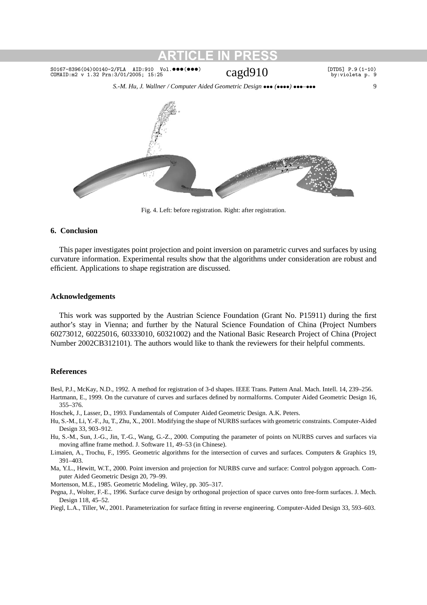*S.-M. Hu, J. Wallner / Computer Aided Geometric Design* ••• *(*••••*)* •••*–*••• 9



Fig. 4. Left: before registration. Right: after registration.

## **6. Conclusion**

This paper investigates point projection and point inversion on parametric curves and surfaces by using curvature information. Experimental results show that the algorithms under consideration are robust and efficient. Applications to shape registration are discussed.

## **Acknowledgements**

This work was supported by the Austrian Science Foundation (Grant No. P15911) during the first author's stay in Vienna; and further by the Natural Science Foundation of China (Project Numbers 60273012, 60225016, 60333010, 60321002) and the National Basic Research Project of China (Project Number 2002CB312101). The authors would like to thank the reviewers for their helpful comments.

## **References**

- Besl, P.J., McKay, N.D., 1992. A method for registration of 3-d shapes. IEEE Trans. Pattern Anal. Mach. Intell. 14, 239–256.
- Hartmann, E., 1999. On the curvature of curves and surfaces defined by normalforms. Computer Aided Geometric Design 16, 355–376.
- Hoschek, J., Lasser, D., 1993. Fundamentals of Computer Aided Geometric Design. A.K. Peters.
- Hu, S.-M., Li, Y.-F., Ju, T., Zhu, X., 2001. Modifying the shape of NURBS surfaces with geometric constraints. Computer-Aided Design 33, 903–912.
- Hu, S.-M., Sun, J.-G., Jin, T.-G., Wang, G.-Z., 2000. Computing the parameter of points on NURBS curves and surfaces via moving affine frame method. J. Software 11, 49–53 (in Chinese).
- Limaien, A., Trochu, F., 1995. Geometric algorithms for the intersection of curves and surfaces. Computers & Graphics 19, 391–403.
- Ma, Y.L., Hewitt, W.T., 2000. Point inversion and projection for NURBS curve and surface: Control polygon approach. Computer Aided Geometric Design 20, 79–99.

Mortenson, M.E., 1985. Geometric Modeling. Wiley, pp. 305–317.

Pegna, J., Wolter, F.-E., 1996. Surface curve design by orthogonal projection of space curves onto free-form surfaces. J. Mech. Design 118, 45–52.

Piegl, L.A., Tiller, W., 2001. Parameterization for surface fitting in reverse engineering. Computer-Aided Design 33, 593–603.